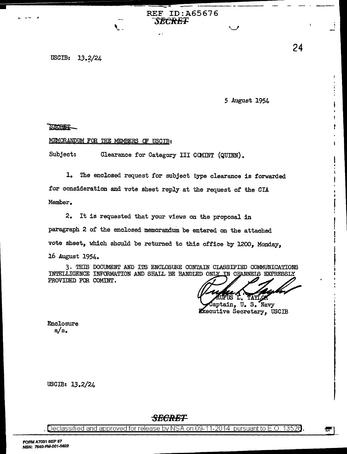----.......- - - REF ID: A65676 **SECRE'F** 

# USCIB: 13.2/24

*5* August 1954

 $\smile$ 

### SZORET

-('.- -- <sup>~</sup>

## MEMORANDUM FOR THE MEMBERS OF USCIB:

---------

Subject: Clearance for Category III COMINT (QUINN).

1. The enclosed request for subject type clearance is forwarded for consideration and vote sheet reply at the request of the CIA Member.

2. It is requested that your views on the proposal in paragraph 2 of the enclosed memorandum be entered on the attached vote sheet, which should be returned to this office by 1200, Monday, 16 August 1954.

3. THIS DOCUMENT AND ITS ENCLOSURE CONTAIN CLASSIFIED COMMUNICATIONS INTELLIGENCE INFORMATION AND SHALL BE HANDIED ONLY IN CHANNEIS EXPRESSLY PROVIDED FOR COMINT.

• AYL

aptain, u. s. Navy **Executive Secretary**. USCIB

Enclosure a/s.

USCIB: 13.2/24

## *SECRET*

. Declassified and approved for release by NSA on 09-11-2014 pursuant to E.O. 1352 $\theta$ . ~~------------............. .

 $\mathbf{I}$ 

ł